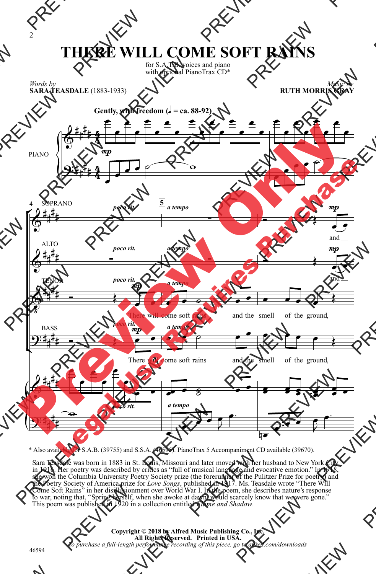## **THERE WILL COME SOFT RAINS**

for S.A.T.B. voices and piano with optional PianoTrax CD\*

*Words by* **SARA TEASDALE** (1883-1933)

*Music by* **RUTH MORRIS GRAY**



\* Also available for S.A.B. (39755) and S.S.A. (46595). PianoTrax 5 Accompaniment CD available (39670).

 Sara Teasdale was born in 1883 in St. Louis, Missouri and later moved with her husband to New York City in 1916. Her poetry was described by critics as "full of musical language and evocative emotion." In 1918, she won the Columbia University Poetry Society prize (the forerunner of the Pulitzer Prize for poetry) and the Poetry Society of America prize for *Love Songs*, published in 1917. Ms. Teasdale wrote "There Will Come Soft Rains" in her disillusionment over World War I. In the poem, she describes nature's response to war, noting that, "Spring herself, when she awoke at dawn, would scarcely know that we were gone." This poem was published in 1920 in a collection entitled *Flame and Shadow.*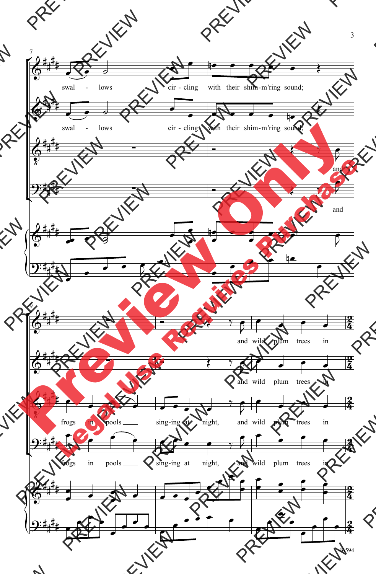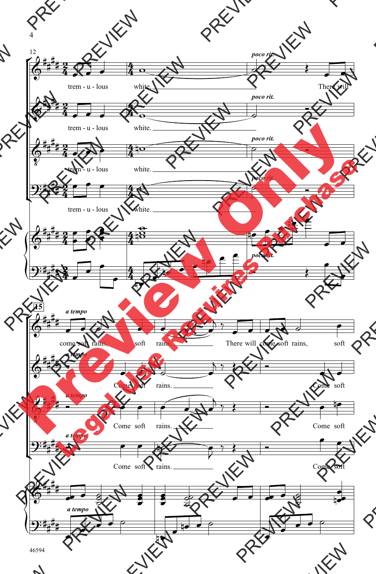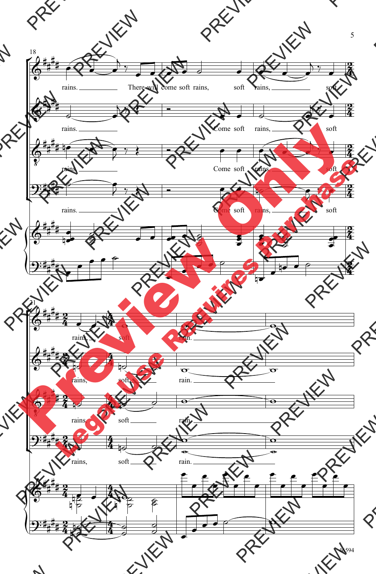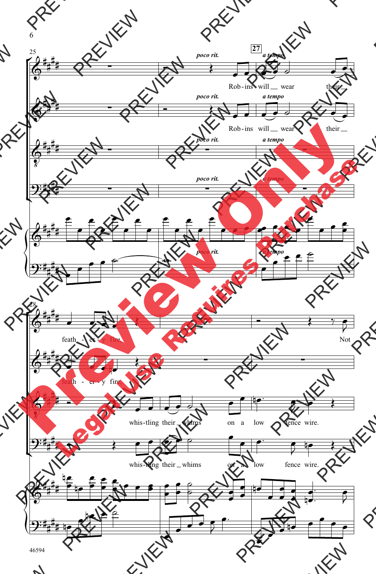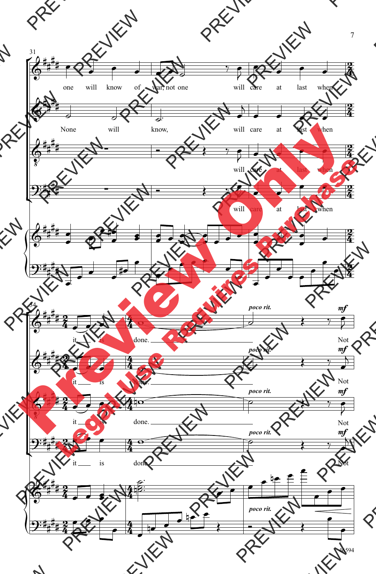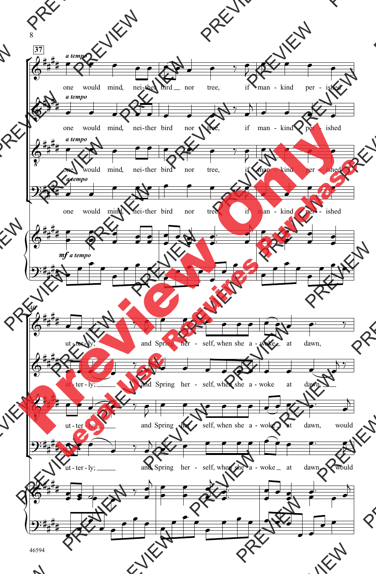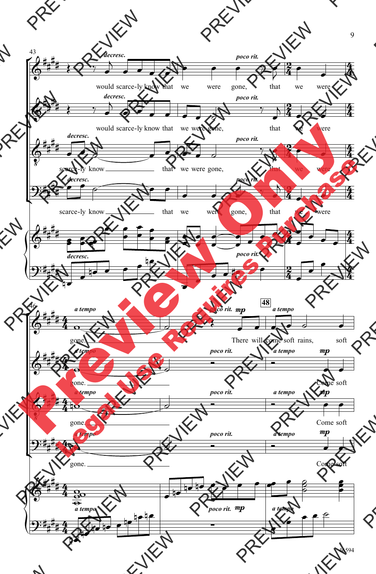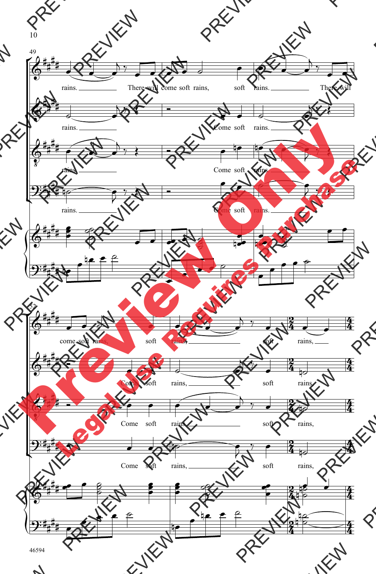

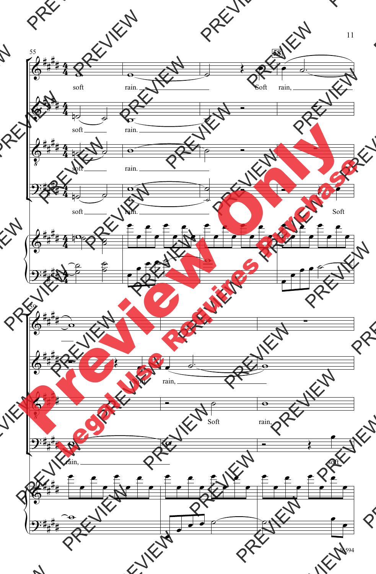